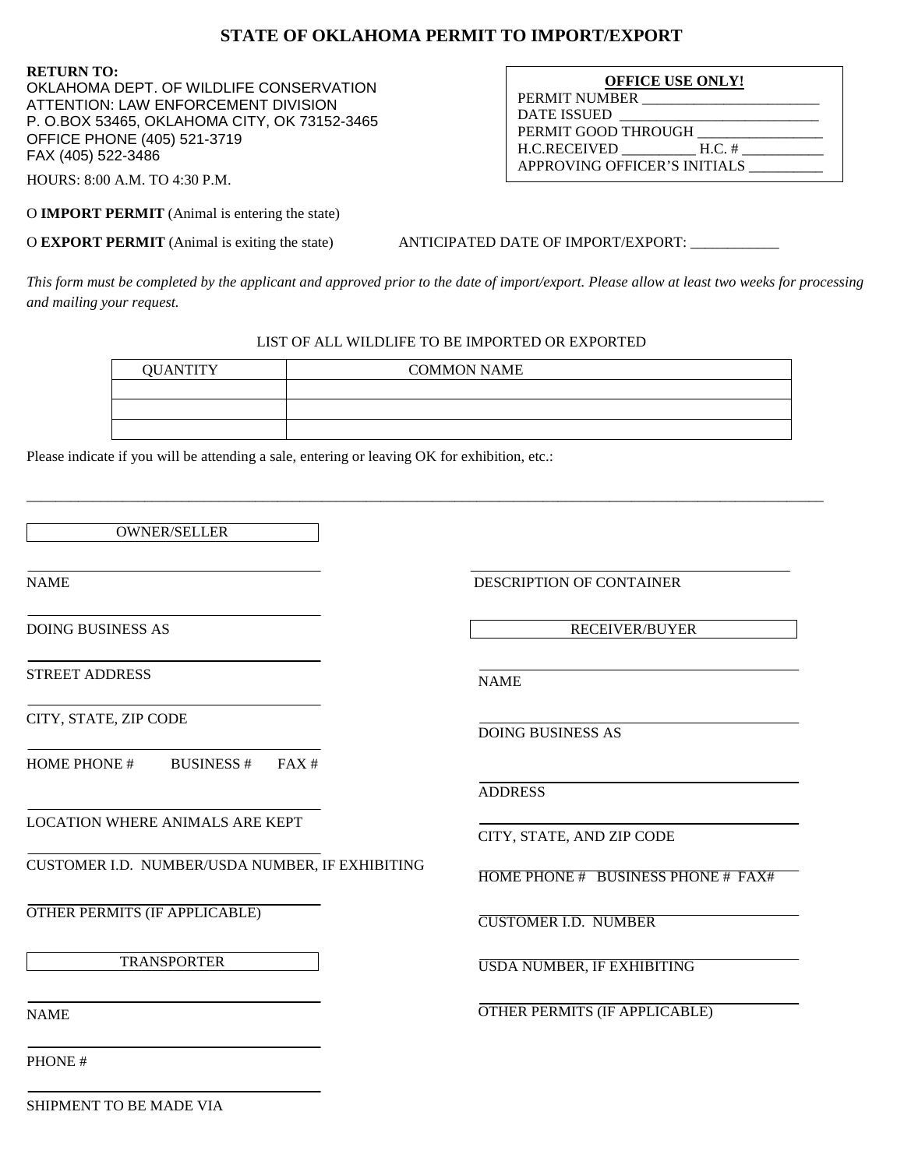## **STATE OF OKLAHOMA PERMIT TO IMPORT/EXPORT**

**RETURN TO:**  OKLAHOMA DEPT. OF WILDLIFE CONSERVATION ATTENTION: LAW ENFORCEMENT DIVISION P. O.BOX 53465, OKLAHOMA CITY, OK 73152-3465 OFFICE PHONE (405) 521-3719 FAX (405) 522-3486

| <b>OFFICE USE ONLY!</b>      |
|------------------------------|
| PERMIT NUMBER                |
| <b>DATE ISSUED</b>           |
| PERMIT GOOD THROUGH          |
| H.C.RECEIVED<br>$H.C.$ #     |
| APPROVING OFFICER'S INITIALS |

HOURS: 8:00 A.M. TO 4:30 P.M.

O **IMPORT PERMIT** (Animal is entering the state)

O **EXPORT PERMIT** (Animal is exiting the state) ANTICIPATED DATE OF IMPORT/EXPORT:

*This form must be completed by the applicant and approved prior to the date of import/export. Please allow at least two weeks for processing and mailing your request.* 

## LIST OF ALL WILDLIFE TO BE IMPORTED OR EXPORTED

| <b>QUANTITY</b> | <b>COMMON NAME</b> |
|-----------------|--------------------|
|                 |                    |
|                 |                    |
|                 |                    |

\_\_\_\_\_\_\_\_\_\_\_\_\_\_\_\_\_\_\_\_\_\_\_\_\_\_\_\_\_\_\_\_\_\_\_\_\_\_\_\_\_\_\_\_\_\_\_\_\_\_\_\_\_\_\_\_\_\_\_\_\_\_\_\_\_\_\_\_\_\_\_\_\_\_\_\_\_\_\_\_\_\_\_\_\_\_\_\_\_\_\_\_\_\_\_\_\_\_\_\_\_\_\_\_\_\_\_\_

Please indicate if you will be attending a sale, entering or leaving OK for exhibition, etc.:

OWNER/SELLER

NAME DESCRIPTION OF CONTAINER

DOING BUSINESS AS

STREET ADDRESS

CITY, STATE, ZIP CODE

HOME PHONE # BUSINESS # FAX #

LOCATION WHERE ANIMALS ARE KEPT

CUSTOMER I.D. NUMBER/USDA NUMBER, IF EXHIBITING

OTHER PERMITS (IF APPLICABLE)

TRANSPORTER

RECEIVER/BUYER

NAME

DOING BUSINESS AS

ADDRESS

CITY, STATE, AND ZIP CODE

HOME PHONE # BUSINESS PHONE # FAX#

CUSTOMER I.D. NUMBER

USDA NUMBER, IF EXHIBITING

OTHER PERMITS (IF APPLICABLE)

NAME

PHONE #

SHIPMENT TO BE MADE VIA